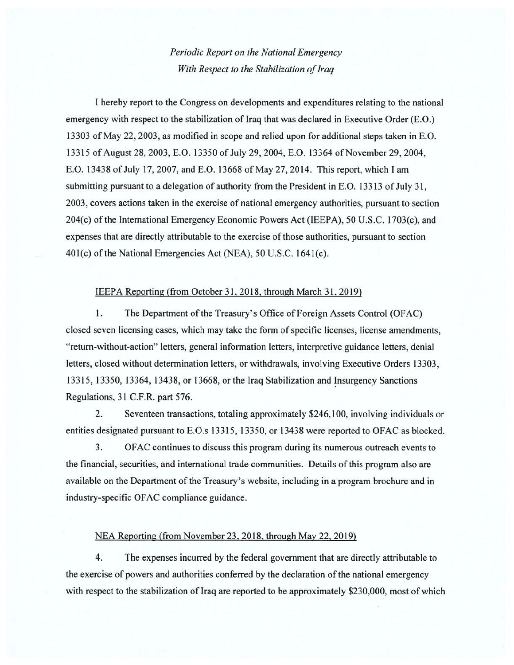## *Periodic Report on the National Emergency With Respect to the Stabilization of Iraq*

I hereby report to the Congress on developments and expenditures relating to the national emergency with respect to the stabilization of Iraq that was declared in Executive Order (E.O.) 13303 of May 22, 2003, as modified in scope and relied upon for additional steps taken in E.O. 13315 of August 28, 2003, E.O. 13350 of July 29, 2004, E.O. 13364 of November 29, 2004, E.O. 13438 of July 17,2007, and E.O. 13668 of May 27, 2014. This report, which I am submitting pursuant to a delegation of authority from the President in E.O. 13313 of July 31, 2003, covers actions taken in the exercise of national emergency authorities, pursuant to section 204(c) of the International Emergency Economic Powers Act (IEEPA), 50 U.S.C. 1703(c), and expenses that are directly attributable to the exercise of those authorities, pursuant to section 40l(c) of the National Emergencies Act (NEA), 50 U.S.C. 1641(c).

## IEEPA Reporting (from October 31, 2018, through March 31, 2019)

I. The Department of the Treasury's Office of Foreign Assets Control (OFAC) closed seven licensing cases, which may take the form of specific licenses, license amendments, "return-without-action" letters, general information letters, interpretive guidance letters, denial letters, closed without determination letters, or withdrawals, involving Executive Orders 13303, 13315, 13350, 13364, 13438, or 13668, or the Iraq Stabilization and Insurgency Sanctions Regulations, 31 C.F.R. part 576.

2. Seventeen transactions, totaling approximately \$246,100, involving individuals or entities designated pursuant to E.O.s 13315, 13350, or 13438 were reported to OFAC as blocked.

3. OFAC continues to discuss this program during its numerous outreach events to the financial, securities, and international trade communities. Details of this program also are available on the Department of the Treasury's website, including in a program brochure and in industry-specific OF AC compliance guidance.

## NEA Reporting (from November 23, 2018. through May 22, 2019)

4. The expenses incurred by the federal government that are directly attributable to the exercise of powers and authorities conferred by the declaration of the national emergency with respect to the stabilization of Iraq are reported to be approximately \$230,000, most of which